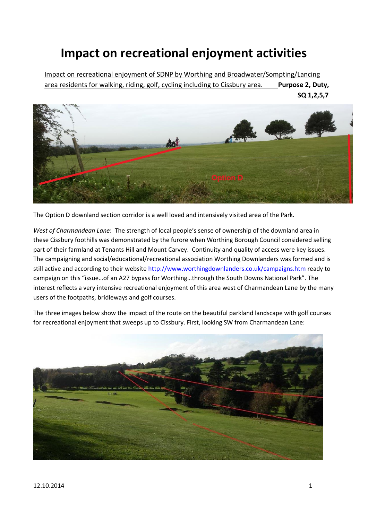## **Impact on recreational enjoyment activities**

Impact on recreational enjoyment of SDNP by Worthing and Broadwater/Sompting/Lancing area residents for walking, riding, golf, cycling including to Cissbury area. Purpose 2, Duty,



The Option D downland section corridor is a well loved and intensively visited area of the Park.

*West of Charmandean Lane*: The strength of local people's sense of ownership of the downland area in these Cissbury foothills was demonstrated by the furore when Worthing Borough Council considered selling part of their farmland at Tenants Hill and Mount Carvey. Continuity and quality of access were key issues. The campaigning and social/educational/recreational association Worthing Downlanders was formed and is still active and according to their websit[e http://www.worthingdownlanders.co.uk/campaigns.htm](http://www.worthingdownlanders.co.uk/campaigns.htm) ready to campaign on this "issue…of an A27 bypass for Worthing…through the South Downs National Park". The interest reflects a very intensive recreational enjoyment of this area west of Charmandean Lane by the many users of the footpaths, bridleways and golf courses.

The three images below show the impact of the route on the beautiful parkland landscape with golf courses for recreational enjoyment that sweeps up to Cissbury. First, looking SW from Charmandean Lane: